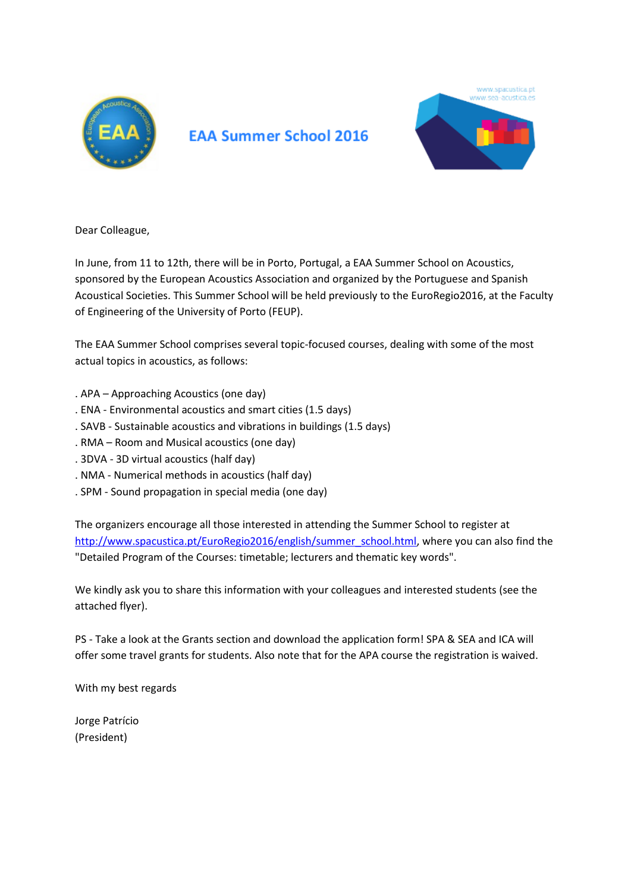

## **EAA Summer School 2016**



Dear Colleague,

In June, from 11 to 12th, there will be in Porto, Portugal, a EAA Summer School on Acoustics, sponsored by the European Acoustics Association and organized by the Portuguese and Spanish Acoustical Societies. This Summer School will be held previously to the EuroRegio2016, at the Faculty of Engineering of the University of Porto (FEUP).

The EAA Summer School comprises several topic-focused courses, dealing with some of the most actual topics in acoustics, as follows:

- . APA Approaching Acoustics (one day)
- . ENA Environmental acoustics and smart cities (1.5 days)
- . SAVB Sustainable acoustics and vibrations in buildings (1.5 days)
- . RMA Room and Musical acoustics (one day)
- . 3DVA 3D virtual acoustics (half day)
- . NMA Numerical methods in acoustics (half day)
- . SPM Sound propagation in special media (one day)

The organizers encourage all those interested in attending the Summer School to register at [http://www.spacustica.pt/EuroRegio2016/english/summer\\_school.html,](http://www.spacustica.pt/EuroRegio2016/english/summer_school.html) where you can also find the "Detailed Program of the Courses: timetable; lecturers and thematic key words".

We kindly ask you to share this information with your colleagues and interested students (see the attached flyer).

PS - Take a look at the Grants section and download the application form! SPA & SEA and ICA will offer some travel grants for students. Also note that for the APA course the registration is waived.

With my best regards

Jorge Patrício (President)